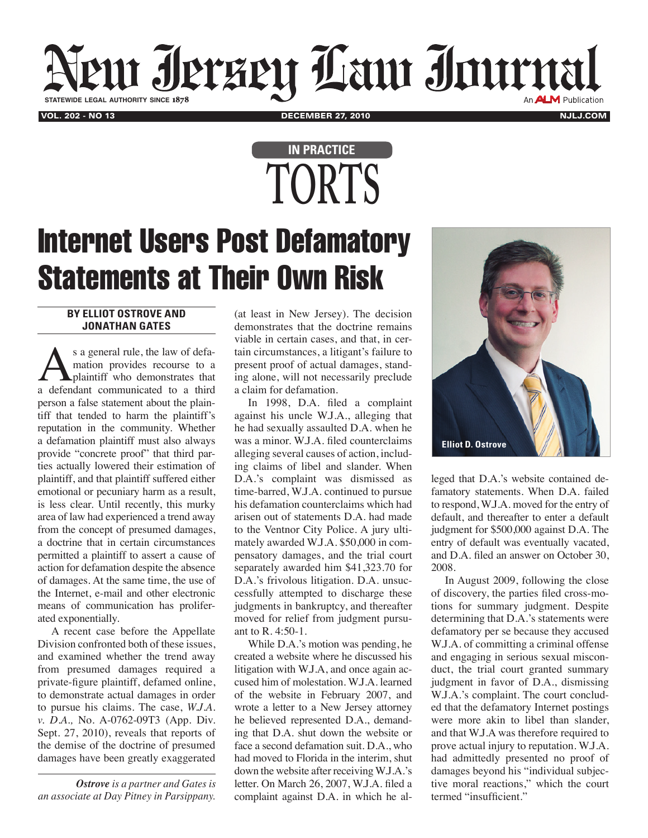## VOL. 202 - NO 13 NULJ.COM NULL BECEMBER 27, 2010 NULL BECAMBER 27, 2010 NULL BECAMBER 27, 2010 **statewide legal authority since** 1878

## **TORTS In Practice**

## Internet Users Post Defamatory Statements at Their Own Risk

## **By Elliot Ostrove and Jonathan Gates**

s a general rule, the law of defamation provides recourse to a plaintiff who demonstrates that a defendant communicated to a third person a false statement about the plaintiff that tended to harm the plaintiff's reputation in the community. Whether a defamation plaintiff must also always provide "concrete proof" that third parties actually lowered their estimation of plaintiff, and that plaintiff suffered either emotional or pecuniary harm as a result, is less clear. Until recently, this murky area of law had experienced a trend away from the concept of presumed damages, a doctrine that in certain circumstances permitted a plaintiff to assert a cause of action for defamation despite the absence of damages. At the same time, the use of the Internet, e-mail and other electronic means of communication has proliferated exponentially.

A recent case before the Appellate Division confronted both of these issues, and examined whether the trend away from presumed damages required a private-figure plaintiff, defamed online, to demonstrate actual damages in order to pursue his claims. The case, *W.J.A. v. D.A.,* No. A-0762-09T3 (App. Div. Sept. 27, 2010), reveals that reports of the demise of the doctrine of presumed damages have been greatly exaggerated

*Ostrove is a partner and Gates is an associate at Day Pitney in Parsippany.*

(at least in New Jersey). The decision demonstrates that the doctrine remains viable in certain cases, and that, in certain circumstances, a litigant's failure to present proof of actual damages, standing alone, will not necessarily preclude a claim for defamation.

In 1998, D.A. filed a complaint against his uncle W.J.A., alleging that he had sexually assaulted D.A. when he was a minor. W.J.A. filed counterclaims alleging several causes of action, including claims of libel and slander. When D.A.'s complaint was dismissed as time-barred, W.J.A. continued to pursue his defamation counterclaims which had arisen out of statements D.A. had made to the Ventnor City Police. A jury ultimately awarded W.J.A. \$50,000 in compensatory damages, and the trial court separately awarded him \$41,323.70 for D.A.'s frivolous litigation. D.A. unsuccessfully attempted to discharge these judgments in bankruptcy, and thereafter moved for relief from judgment pursuant to R. 4:50-1.

While D.A.'s motion was pending, he created a website where he discussed his litigation with W.J.A, and once again accused him of molestation. W.J.A. learned of the website in February 2007, and wrote a letter to a New Jersey attorney he believed represented D.A., demanding that D.A. shut down the website or face a second defamation suit. D.A., who had moved to Florida in the interim, shut down the website after receiving W.J.A.'s letter. On March 26, 2007, W.J.A. filed a complaint against D.A. in which he al-



leged that D.A.'s website contained defamatory statements. When D.A. failed to respond, W.J.A. moved for the entry of default, and thereafter to enter a default judgment for \$500,000 against D.A. The entry of default was eventually vacated, and D.A. filed an answer on October 30, 2008.

In August 2009, following the close of discovery, the parties filed cross-motions for summary judgment. Despite determining that D.A.'s statements were defamatory per se because they accused W.J.A. of committing a criminal offense and engaging in serious sexual misconduct, the trial court granted summary judgment in favor of D.A., dismissing W.J.A.'s complaint. The court concluded that the defamatory Internet postings were more akin to libel than slander, and that W.J.A was therefore required to prove actual injury to reputation. W.J.A. had admittedly presented no proof of damages beyond his "individual subjective moral reactions," which the court termed "insufficient."